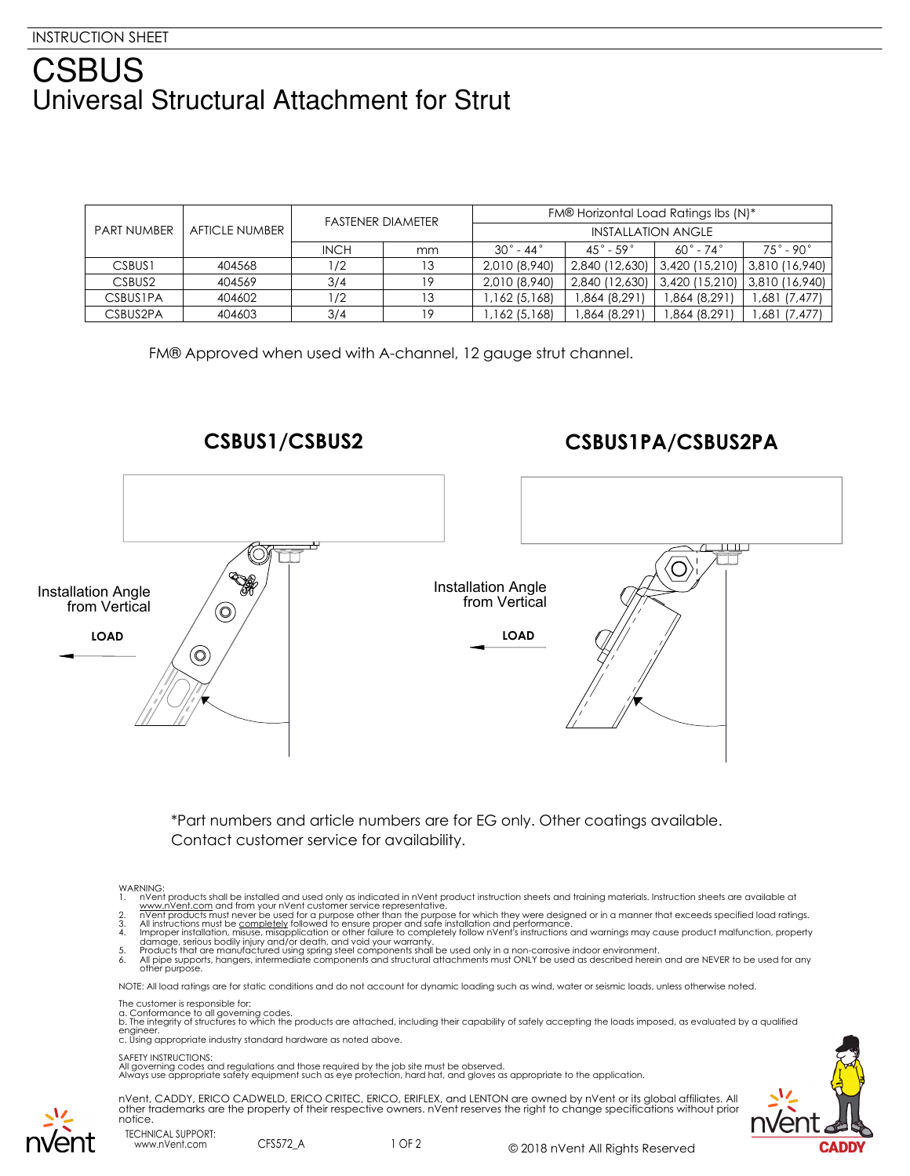## **CSBUS** Universal Structural Attachment for Strut

| <b>PART NUMBER</b> | <b>AFTICLE NUMBER</b> | <b>FASTENER DIAMETER</b> |    | FM® Horizontal Load Ratings Ibs (N)* |                              |                                 |                          |
|--------------------|-----------------------|--------------------------|----|--------------------------------------|------------------------------|---------------------------------|--------------------------|
|                    |                       |                          |    | INSTALLATION ANGLE                   |                              |                                 |                          |
|                    |                       | <b>INCH</b>              | mm | $30^\circ$ - 44 $^\circ$             | $45^{\circ}$ - 59 $^{\circ}$ | $60^\circ$ - 74 $^\circ$        | $75^\circ$ - 90 $^\circ$ |
| CSBUS <sub>1</sub> | 404568                | 1/2                      | 13 | 2,010 (8,940)                        | 2,840 (12,630)               | 3,420 (15,210)   3,810 (16,940) |                          |
| CSBUS <sub>2</sub> | 404569                | 3/4                      | 19 | 2,010 (8,940)                        | 2,840 (12,630)               | 3,420 (15,210) 3,810 (16,940)   |                          |
| <b>CSBUSIPA</b>    | 404602                | /2                       | 13 | 1,162 (5,168)                        | 1,864 (8,291)                | ,864 (8,291)                    | 1,681 (7,477)            |
| CSBUS2PA           | 404603                | 3/4                      | 19 | 1,162 (5,168)                        | 1,864 (8,291)                | ,864 (8,291)                    | 1,681 (7,477)            |

FM® Approved when used with A-channel, 12 gauge strut channel.

**CSBUS1/CSBUS2 CSBUS1PA/CSBUS2PA** Installation Angle Installation Angle<br>
from Vertical  $\bigg/$   $\bigcirc$ from Vertical **LOAD LOAD**  $\odot$ 

> \*Part numbers and article numbers are for EG only. Other coatings available. Contact customer service for availability.

- WARNING:<br>1. moving the installed and used only as indicated in nVent product instruction sheets and training materials. Instruction sheets are available at<br>2. mVent products must never be used for a purpose other than the
- 
- 
- damage, serious bodily injury and/or death, and void your warranty.<br>5. Products that are manufactured using spring steel components shall be used only in a non-corrosive indoor environment.<br>6. All pipe supports, hang

NOTE: All load ratings are for static conditions and do not account for dynamic loading such as wind, water or seismic loads, unless otherwise noted.

- The customer is responsible for:
- 

a. Conformance to all governing codes.<br>b. The integrity of structures to which the products are attached, including their capability of safely accepting the loads imposed, as evaluated by a qualified engineer. c. Using appropriate industry standard hardware as noted above.

## SAFETY INSTRUCTIONS:

All governing codes and regulations and those required by the job site must be observed. Always use appropriate safety equipment such as eye protection, hard hat, and gloves as appropriate to the application.

nVent, CADDY, ERICO CADWELD, ERICO CRITEC, ERICO, ERIFLEX, and LENTON are owned by nVent or its global affiliates. All other trademarks are the property of their respective owners. nVent reserves the right to change specifications without prior notice.





TECHNICAL SUPPORT: www.nVent.com CFS572\_A